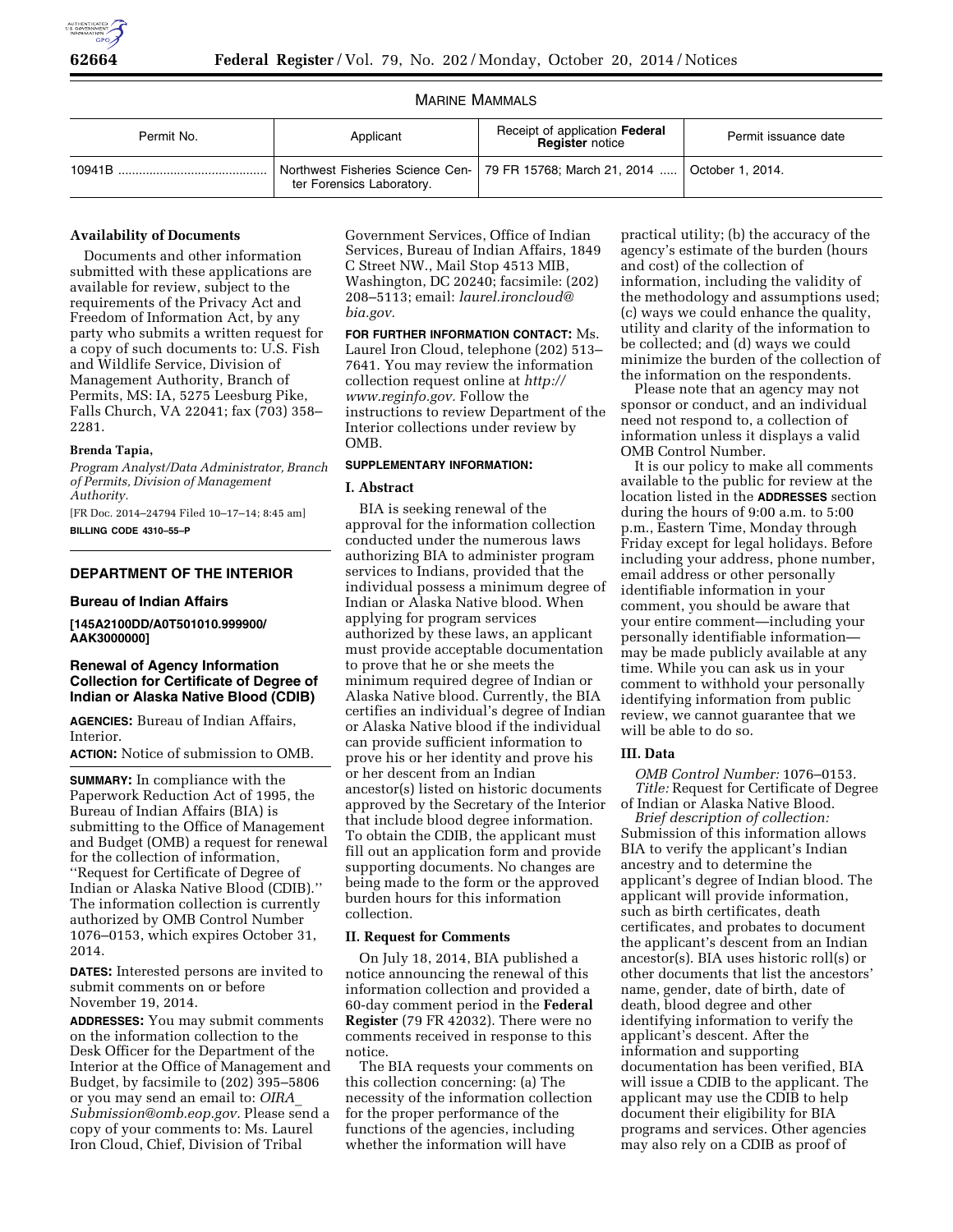

# MARINE MAMMALS

| Permit No. | Applicant                 | Receipt of application Federal<br><b>Register</b> notice                           | Permit issuance date |
|------------|---------------------------|------------------------------------------------------------------------------------|----------------------|
| 10941B     | ter Forensics Laboratory. | Northwest Fisheries Science Cen-   79 FR 15768; March 21, 2014    October 1, 2014. |                      |

### **Availability of Documents**

Documents and other information submitted with these applications are available for review, subject to the requirements of the Privacy Act and Freedom of Information Act, by any party who submits a written request for a copy of such documents to: U.S. Fish and Wildlife Service, Division of Management Authority, Branch of Permits, MS: IA, 5275 Leesburg Pike, Falls Church, VA 22041; fax (703) 358– 2281.

## **Brenda Tapia,**

*Program Analyst/Data Administrator, Branch of Permits, Division of Management Authority.* 

[FR Doc. 2014–24794 Filed 10–17–14; 8:45 am] **BILLING CODE 4310–55–P** 

# **DEPARTMENT OF THE INTERIOR**

### **Bureau of Indian Affairs**

**[145A2100DD/A0T501010.999900/ AAK3000000]** 

# **Renewal of Agency Information Collection for Certificate of Degree of Indian or Alaska Native Blood (CDIB)**

**AGENCIES:** Bureau of Indian Affairs, Interior.

**ACTION:** Notice of submission to OMB.

**SUMMARY:** In compliance with the Paperwork Reduction Act of 1995, the Bureau of Indian Affairs (BIA) is submitting to the Office of Management and Budget (OMB) a request for renewal for the collection of information, ''Request for Certificate of Degree of Indian or Alaska Native Blood (CDIB).'' The information collection is currently authorized by OMB Control Number 1076–0153, which expires October 31, 2014.

**DATES:** Interested persons are invited to submit comments on or before November 19, 2014.

**ADDRESSES:** You may submit comments on the information collection to the Desk Officer for the Department of the Interior at the Office of Management and Budget, by facsimile to (202) 395–5806 or you may send an email to: *[OIRA](mailto:OIRA_Submission@omb.eop.gov)*\_ *[Submission@omb.eop.gov.](mailto:OIRA_Submission@omb.eop.gov)* Please send a copy of your comments to: Ms. Laurel Iron Cloud, Chief, Division of Tribal

Government Services, Office of Indian Services, Bureau of Indian Affairs, 1849 C Street NW., Mail Stop 4513 MIB, Washington, DC 20240; facsimile: (202) 208–5113; email: *[laurel.ironcloud@](mailto:laurel.ironcloud@bia.gov) [bia.gov.](mailto:laurel.ironcloud@bia.gov)* 

**FOR FURTHER INFORMATION CONTACT:** Ms. Laurel Iron Cloud, telephone (202) 513– 7641. You may review the information collection request online at *[http://](http://www.reginfo.gov) [www.reginfo.gov.](http://www.reginfo.gov)* Follow the instructions to review Department of the Interior collections under review by OMB.

## **SUPPLEMENTARY INFORMATION:**

## **I. Abstract**

BIA is seeking renewal of the approval for the information collection conducted under the numerous laws authorizing BIA to administer program services to Indians, provided that the individual possess a minimum degree of Indian or Alaska Native blood. When applying for program services authorized by these laws, an applicant must provide acceptable documentation to prove that he or she meets the minimum required degree of Indian or Alaska Native blood. Currently, the BIA certifies an individual's degree of Indian or Alaska Native blood if the individual can provide sufficient information to prove his or her identity and prove his or her descent from an Indian ancestor(s) listed on historic documents approved by the Secretary of the Interior that include blood degree information. To obtain the CDIB, the applicant must fill out an application form and provide supporting documents. No changes are being made to the form or the approved burden hours for this information collection.

## **II. Request for Comments**

On July 18, 2014, BIA published a notice announcing the renewal of this information collection and provided a 60-day comment period in the **Federal Register** (79 FR 42032). There were no comments received in response to this notice.

The BIA requests your comments on this collection concerning: (a) The necessity of the information collection for the proper performance of the functions of the agencies, including whether the information will have

practical utility; (b) the accuracy of the agency's estimate of the burden (hours and cost) of the collection of information, including the validity of the methodology and assumptions used; (c) ways we could enhance the quality, utility and clarity of the information to be collected; and (d) ways we could minimize the burden of the collection of the information on the respondents.

Please note that an agency may not sponsor or conduct, and an individual need not respond to, a collection of information unless it displays a valid OMB Control Number.

It is our policy to make all comments available to the public for review at the location listed in the **ADDRESSES** section during the hours of 9:00 a.m. to 5:00 p.m., Eastern Time, Monday through Friday except for legal holidays. Before including your address, phone number, email address or other personally identifiable information in your comment, you should be aware that your entire comment—including your personally identifiable information may be made publicly available at any time. While you can ask us in your comment to withhold your personally identifying information from public review, we cannot guarantee that we will be able to do so.

### **III. Data**

*OMB Control Number:* 1076–0153. *Title:* Request for Certificate of Degree of Indian or Alaska Native Blood.

*Brief description of collection:*  Submission of this information allows BIA to verify the applicant's Indian ancestry and to determine the applicant's degree of Indian blood. The applicant will provide information, such as birth certificates, death certificates, and probates to document the applicant's descent from an Indian ancestor(s). BIA uses historic roll(s) or other documents that list the ancestors' name, gender, date of birth, date of death, blood degree and other identifying information to verify the applicant's descent. After the information and supporting documentation has been verified, BIA will issue a CDIB to the applicant. The applicant may use the CDIB to help document their eligibility for BIA programs and services. Other agencies may also rely on a CDIB as proof of